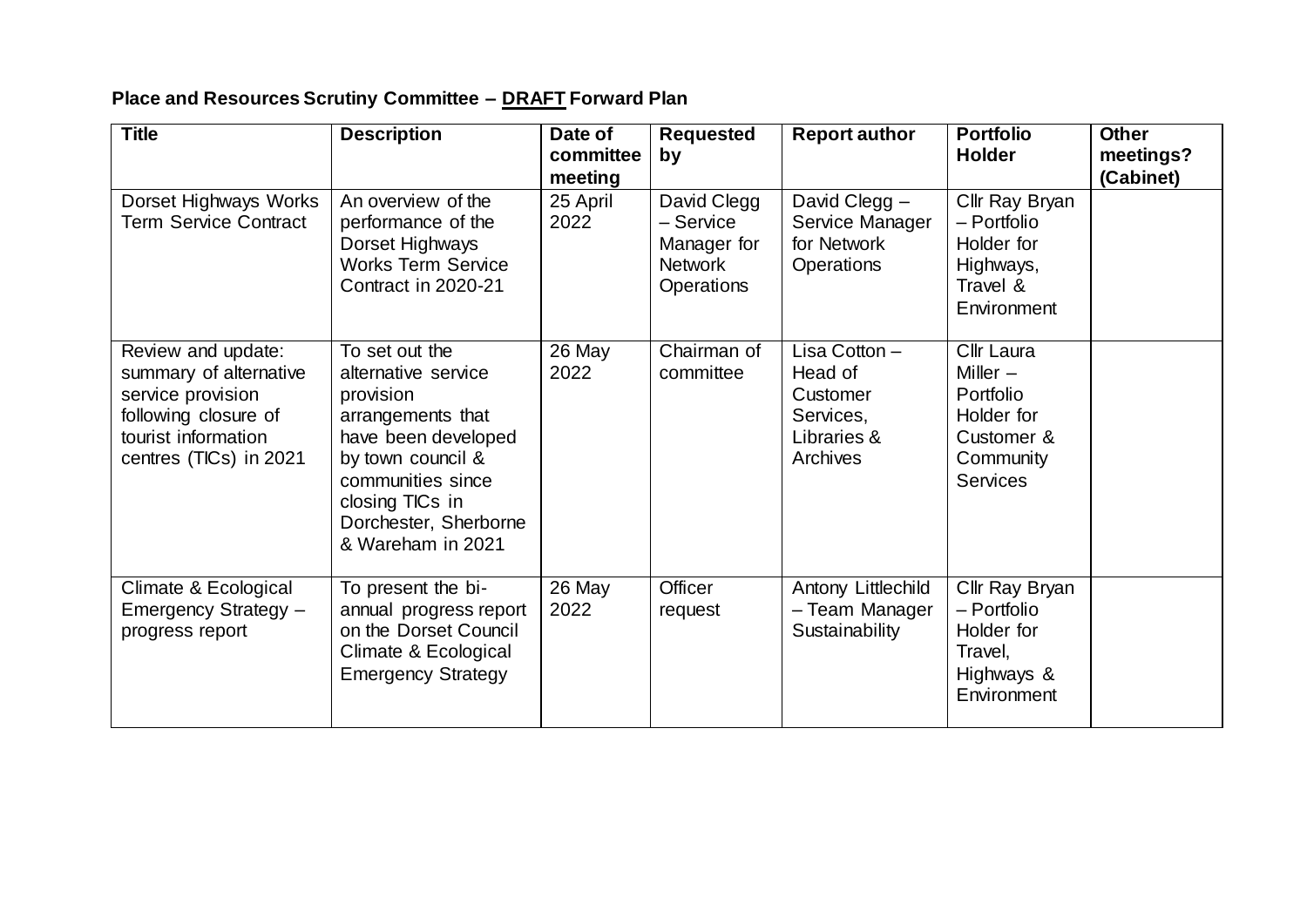## **Place and Resources Scrutiny Committee – DRAFT Forward Plan**

| <b>Title</b>                                                                                                                               | <b>Description</b>                                                                                                                                                                                        | Date of<br>committee<br>meeting | <b>Requested</b><br>by                                                  | <b>Report author</b>                                                         | <b>Portfolio</b><br><b>Holder</b>                                                          | <b>Other</b><br>meetings?<br>(Cabinet) |
|--------------------------------------------------------------------------------------------------------------------------------------------|-----------------------------------------------------------------------------------------------------------------------------------------------------------------------------------------------------------|---------------------------------|-------------------------------------------------------------------------|------------------------------------------------------------------------------|--------------------------------------------------------------------------------------------|----------------------------------------|
| Dorset Highways Works<br><b>Term Service Contract</b>                                                                                      | An overview of the<br>performance of the<br>Dorset Highways<br><b>Works Term Service</b><br>Contract in 2020-21                                                                                           | 25 April<br>2022                | David Clegg<br>- Service<br>Manager for<br><b>Network</b><br>Operations | David Clegg -<br>Service Manager<br>for Network<br><b>Operations</b>         | Cllr Ray Bryan<br>- Portfolio<br>Holder for<br>Highways,<br>Travel &<br>Environment        |                                        |
| Review and update:<br>summary of alternative<br>service provision<br>following closure of<br>tourist information<br>centres (TICs) in 2021 | To set out the<br>alternative service<br>provision<br>arrangements that<br>have been developed<br>by town council &<br>communities since<br>closing TICs in<br>Dorchester, Sherborne<br>& Wareham in 2021 | 26 May<br>2022                  | Chairman of<br>committee                                                | Lisa Cotton -<br>Head of<br>Customer<br>Services,<br>Libraries &<br>Archives | Cllr Laura<br>Miller $-$<br>Portfolio<br>Holder for<br>Customer &<br>Community<br>Services |                                        |
| Climate & Ecological<br>Emergency Strategy -<br>progress report                                                                            | To present the bi-<br>annual progress report<br>on the Dorset Council<br>Climate & Ecological<br><b>Emergency Strategy</b>                                                                                | 26 May<br>2022                  | Officer<br>request                                                      | Antony Littlechild<br>- Team Manager<br>Sustainability                       | Cllr Ray Bryan<br>- Portfolio<br>Holder for<br>Travel,<br>Highways &<br>Environment        |                                        |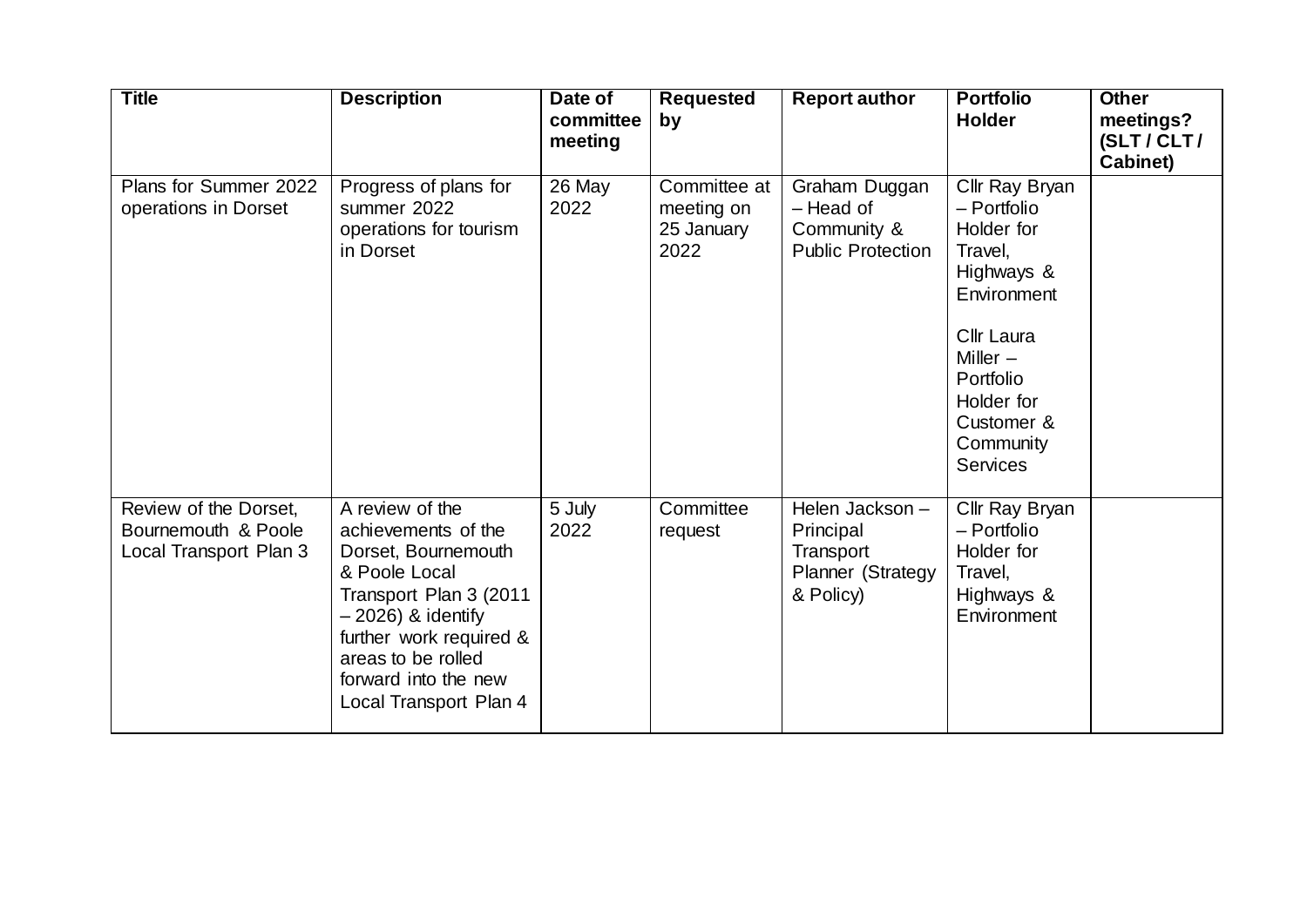| <b>Title</b>                                                           | <b>Description</b>                                                                                                                                                                                                                  | Date of<br>committee<br>meeting | <b>Requested</b><br>by                           | <b>Report author</b>                                                       | <b>Portfolio</b><br><b>Holder</b>                                                                                                                                                        | <b>Other</b><br>meetings?<br>(SLT/CLT/ |
|------------------------------------------------------------------------|-------------------------------------------------------------------------------------------------------------------------------------------------------------------------------------------------------------------------------------|---------------------------------|--------------------------------------------------|----------------------------------------------------------------------------|------------------------------------------------------------------------------------------------------------------------------------------------------------------------------------------|----------------------------------------|
| Plans for Summer 2022<br>operations in Dorset                          | Progress of plans for<br>summer 2022<br>operations for tourism<br>in Dorset                                                                                                                                                         | 26 May<br>2022                  | Committee at<br>meeting on<br>25 January<br>2022 | Graham Duggan<br>- Head of<br>Community &<br><b>Public Protection</b>      | Cllr Ray Bryan<br>- Portfolio<br>Holder for<br>Travel,<br>Highways &<br>Environment<br>Cllr Laura<br>Miller $-$<br>Portfolio<br>Holder for<br>Customer &<br>Community<br><b>Services</b> | Cabinet)                               |
| Review of the Dorset,<br>Bournemouth & Poole<br>Local Transport Plan 3 | A review of the<br>achievements of the<br>Dorset, Bournemouth<br>& Poole Local<br>Transport Plan 3 (2011<br>$-2026$ ) & identify<br>further work required &<br>areas to be rolled<br>forward into the new<br>Local Transport Plan 4 | 5 July<br>2022                  | Committee<br>request                             | Helen Jackson-<br>Principal<br>Transport<br>Planner (Strategy<br>& Policy) | Cllr Ray Bryan<br>- Portfolio<br>Holder for<br>Travel,<br>Highways &<br>Environment                                                                                                      |                                        |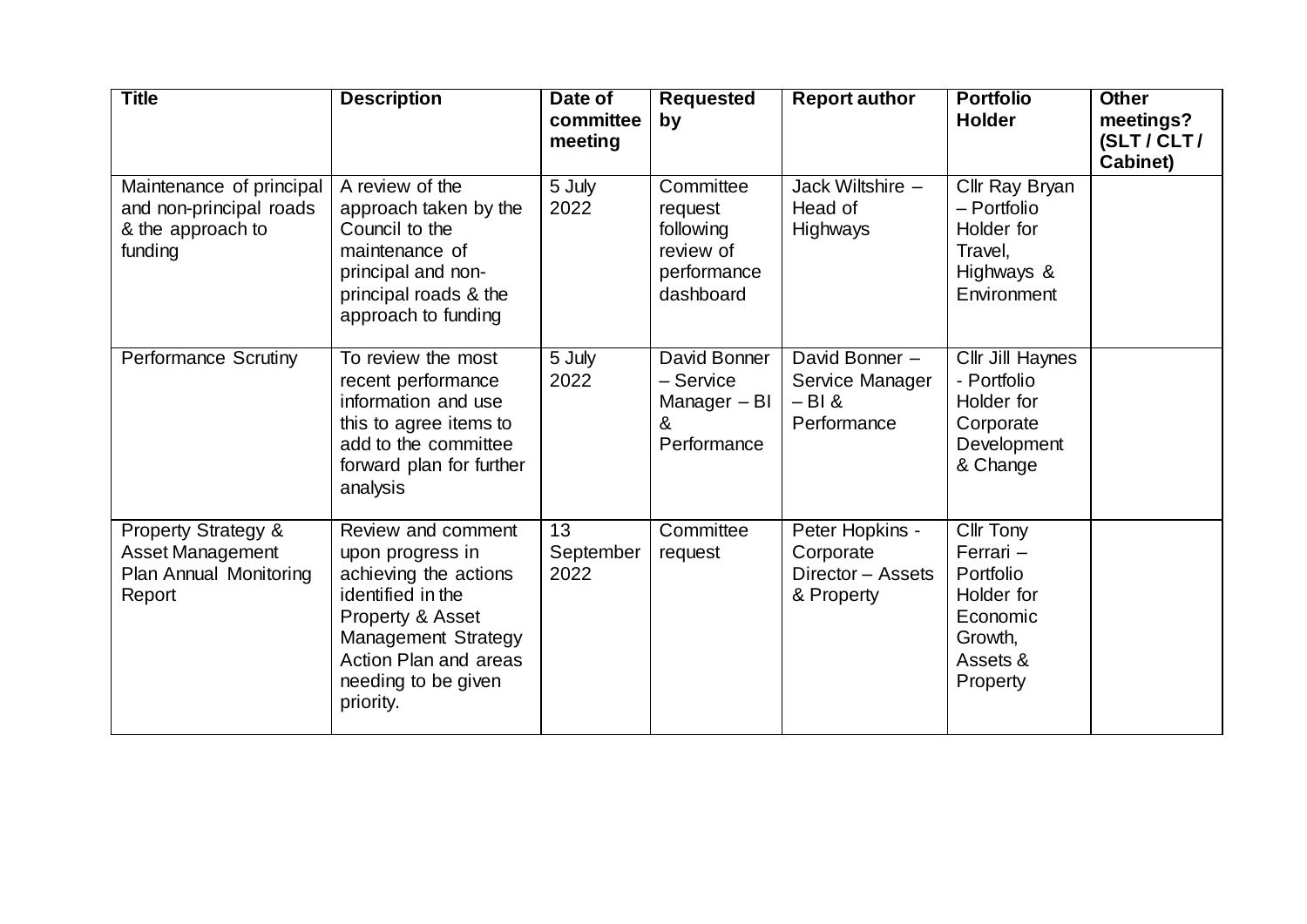| <b>Title</b>                                                                                  | <b>Description</b>                                                                                                                                                                           | Date of<br>committee<br>meeting | <b>Requested</b><br>by                                                     | <b>Report author</b>                                            | <b>Portfolio</b><br><b>Holder</b>                                                                | <b>Other</b><br>meetings?<br>(SLT/CLT/<br>Cabinet) |
|-----------------------------------------------------------------------------------------------|----------------------------------------------------------------------------------------------------------------------------------------------------------------------------------------------|---------------------------------|----------------------------------------------------------------------------|-----------------------------------------------------------------|--------------------------------------------------------------------------------------------------|----------------------------------------------------|
| Maintenance of principal<br>and non-principal roads<br>& the approach to<br>funding           | A review of the<br>approach taken by the<br>Council to the<br>maintenance of<br>principal and non-<br>principal roads & the<br>approach to funding                                           | 5 July<br>2022                  | Committee<br>request<br>following<br>review of<br>performance<br>dashboard | Jack Wiltshire -<br>Head of<br><b>Highways</b>                  | Cllr Ray Bryan<br>- Portfolio<br>Holder for<br>Travel,<br>Highways &<br>Environment              |                                                    |
| <b>Performance Scrutiny</b>                                                                   | To review the most<br>recent performance<br>information and use<br>this to agree items to<br>add to the committee<br>forward plan for further<br>analysis                                    | 5 July<br>2022                  | David Bonner<br>- Service<br>Manager - BI<br>&<br>Performance              | David Bonner $-$<br>Service Manager<br>$-Bl &$<br>Performance   | Cllr Jill Haynes<br>- Portfolio<br>Holder for<br>Corporate<br>Development<br>& Change            |                                                    |
| <b>Property Strategy &amp;</b><br><b>Asset Management</b><br>Plan Annual Monitoring<br>Report | Review and comment<br>upon progress in<br>achieving the actions<br>identified in the<br>Property & Asset<br>Management Strategy<br>Action Plan and areas<br>needing to be given<br>priority. | 13<br>September<br>2022         | Committee<br>request                                                       | Peter Hopkins -<br>Corporate<br>Director - Assets<br>& Property | Cllr Tony<br>Ferrari -<br>Portfolio<br>Holder for<br>Economic<br>Growth,<br>Assets &<br>Property |                                                    |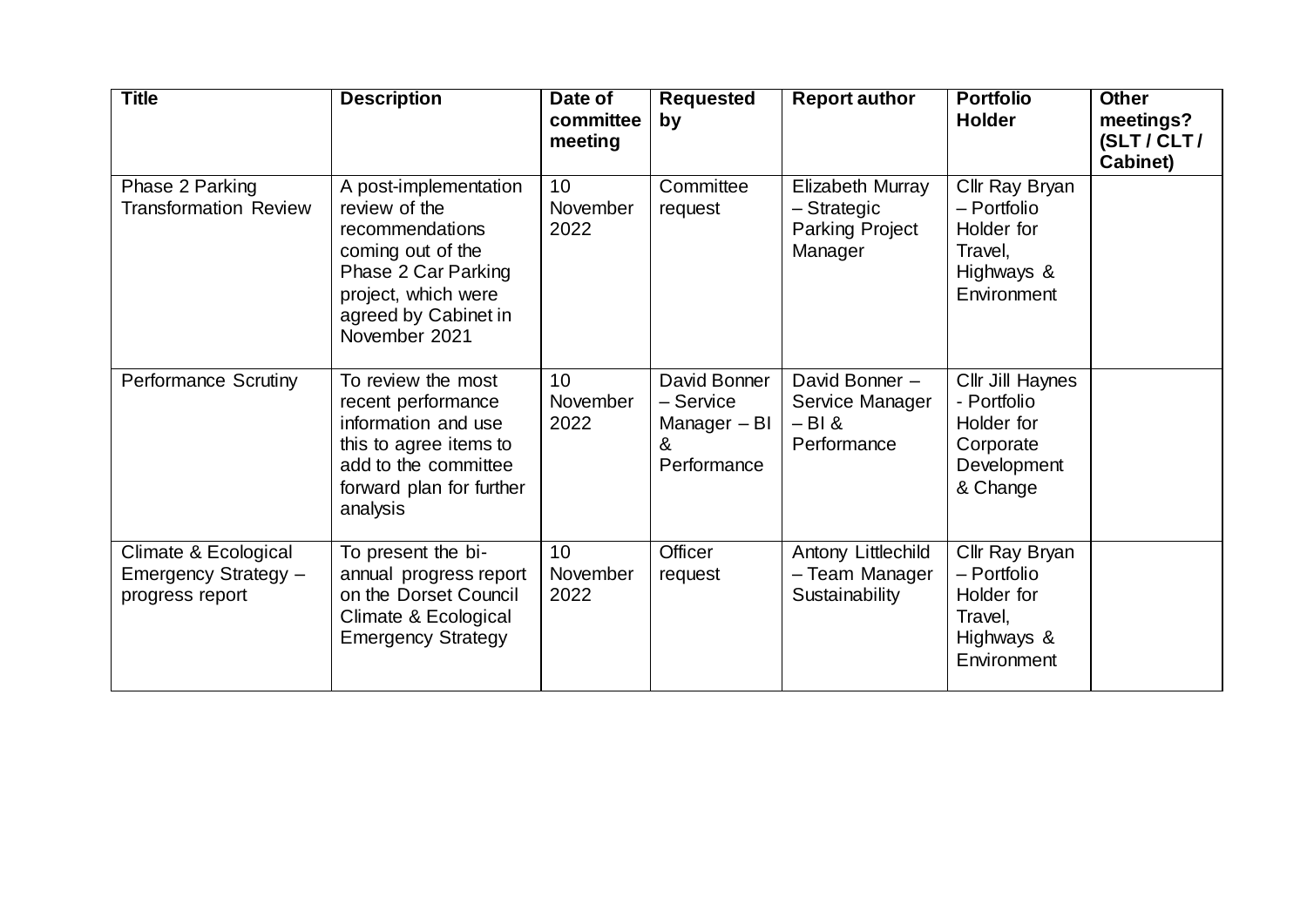| <b>Title</b>                                                    | <b>Description</b>                                                                                                                                                    | Date of<br>committee<br>meeting | <b>Requested</b><br>by                                        | <b>Report author</b>                                                 | <b>Portfolio</b><br><b>Holder</b>                                                     | <b>Other</b><br>meetings?<br>(SLT/CLT/<br>Cabinet) |
|-----------------------------------------------------------------|-----------------------------------------------------------------------------------------------------------------------------------------------------------------------|---------------------------------|---------------------------------------------------------------|----------------------------------------------------------------------|---------------------------------------------------------------------------------------|----------------------------------------------------|
| Phase 2 Parking<br><b>Transformation Review</b>                 | A post-implementation<br>review of the<br>recommendations<br>coming out of the<br>Phase 2 Car Parking<br>project, which were<br>agreed by Cabinet in<br>November 2021 | 10<br>November<br>2022          | Committee<br>request                                          | Elizabeth Murray<br>- Strategic<br><b>Parking Project</b><br>Manager | Cllr Ray Bryan<br>- Portfolio<br>Holder for<br>Travel,<br>Highways &<br>Environment   |                                                    |
| <b>Performance Scrutiny</b>                                     | To review the most<br>recent performance<br>information and use<br>this to agree items to<br>add to the committee<br>forward plan for further<br>analysis             | 10<br>November<br>2022          | David Bonner<br>- Service<br>Manager - BI<br>&<br>Performance | David Bonner -<br>Service Manager<br>$-BI &$<br>Performance          | Cllr Jill Haynes<br>- Portfolio<br>Holder for<br>Corporate<br>Development<br>& Change |                                                    |
| Climate & Ecological<br>Emergency Strategy -<br>progress report | To present the bi-<br>annual progress report<br>on the Dorset Council<br>Climate & Ecological<br><b>Emergency Strategy</b>                                            | 10<br>November<br>2022          | Officer<br>request                                            | Antony Littlechild<br>- Team Manager<br>Sustainability               | Cllr Ray Bryan<br>- Portfolio<br>Holder for<br>Travel,<br>Highways &<br>Environment   |                                                    |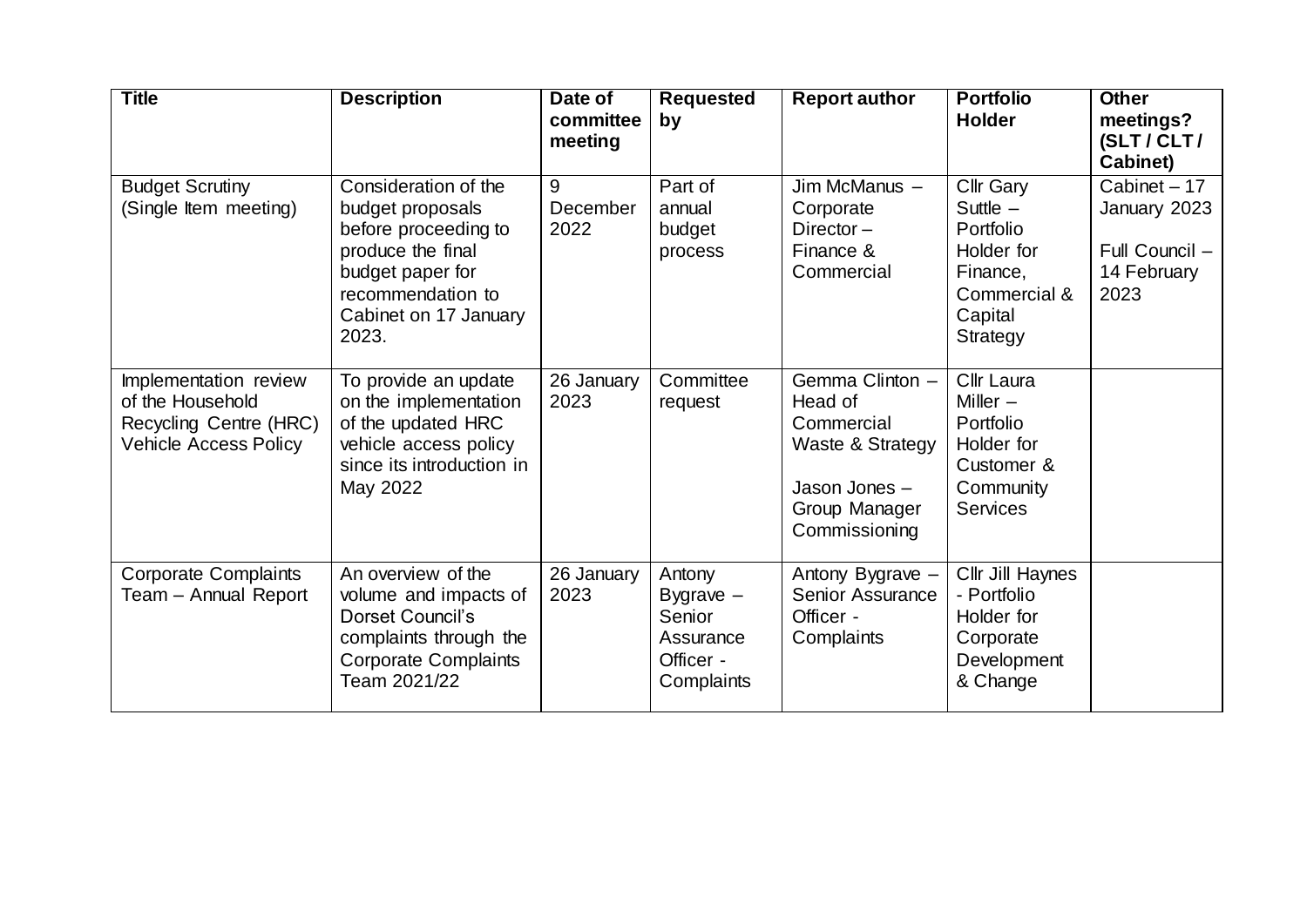| <b>Title</b>                                                                                        | <b>Description</b>                                                                                                                                               | Date of<br>committee<br>meeting | <b>Requested</b><br>by                                                  | <b>Report author</b>                                                                                            | <b>Portfolio</b><br><b>Holder</b>                                                                            | <b>Other</b><br>meetings?<br>(SLT/CLT/<br>Cabinet)                    |
|-----------------------------------------------------------------------------------------------------|------------------------------------------------------------------------------------------------------------------------------------------------------------------|---------------------------------|-------------------------------------------------------------------------|-----------------------------------------------------------------------------------------------------------------|--------------------------------------------------------------------------------------------------------------|-----------------------------------------------------------------------|
| <b>Budget Scrutiny</b><br>(Single Item meeting)                                                     | Consideration of the<br>budget proposals<br>before proceeding to<br>produce the final<br>budget paper for<br>recommendation to<br>Cabinet on 17 January<br>2023. | 9<br>December<br>2022           | Part of<br>annual<br>budget<br>process                                  | Jim McManus -<br>Corporate<br>Director-<br>Finance &<br>Commercial                                              | <b>Cllr Gary</b><br>Suttle $-$<br>Portfolio<br>Holder for<br>Finance,<br>Commercial &<br>Capital<br>Strategy | Cabinet - 17<br>January 2023<br>Full Council -<br>14 February<br>2023 |
| Implementation review<br>of the Household<br>Recycling Centre (HRC)<br><b>Vehicle Access Policy</b> | To provide an update<br>on the implementation<br>of the updated HRC<br>vehicle access policy<br>since its introduction in<br>May 2022                            | 26 January<br>2023              | Committee<br>request                                                    | Gemma Clinton -<br>Head of<br>Commercial<br>Waste & Strategy<br>Jason Jones -<br>Group Manager<br>Commissioning | Cllr Laura<br>Miller $-$<br>Portfolio<br>Holder for<br>Customer &<br>Community<br><b>Services</b>            |                                                                       |
| <b>Corporate Complaints</b><br>Team - Annual Report                                                 | An overview of the<br>volume and impacts of<br>Dorset Council's<br>complaints through the<br><b>Corporate Complaints</b><br>Team 2021/22                         | 26 January<br>2023              | Antony<br>Bygrave $-$<br>Senior<br>Assurance<br>Officer -<br>Complaints | Antony Bygrave -<br><b>Senior Assurance</b><br>Officer -<br>Complaints                                          | Cllr Jill Haynes<br>- Portfolio<br>Holder for<br>Corporate<br>Development<br>& Change                        |                                                                       |